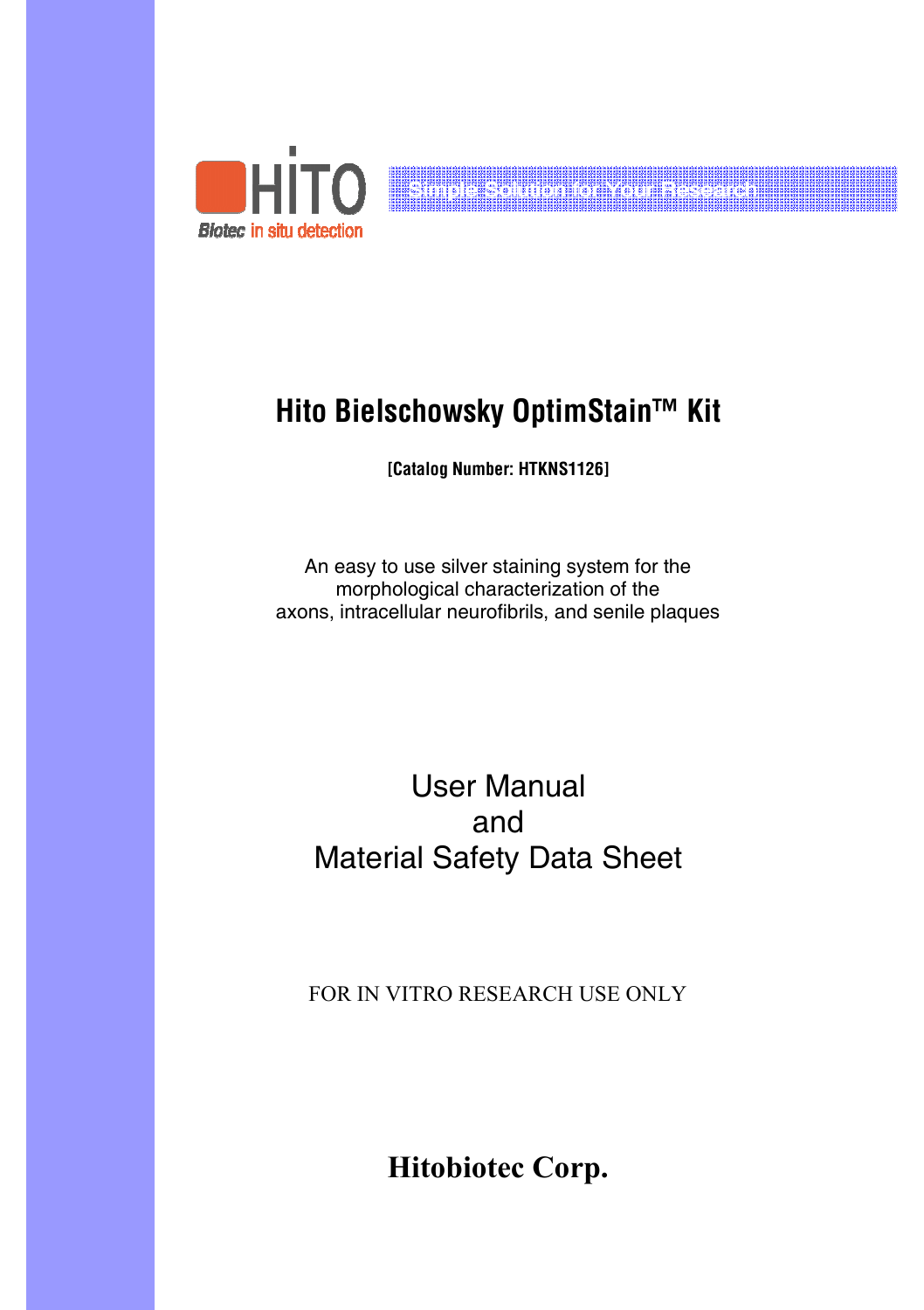

# **Hito Bielschowsky OptimStain™ Kit**

Simple Solution for Your Research

**[Catalog Number: HTKNS1126]** 

An easy to use silver staining system for the morphological characterization of the axons, intracellular neurofibrils, and senile plaques

# User Manual and Material Safety Data Sheet

FOR IN VITRO RESEARCH USE ONLY

**Hitobiotec Corp.**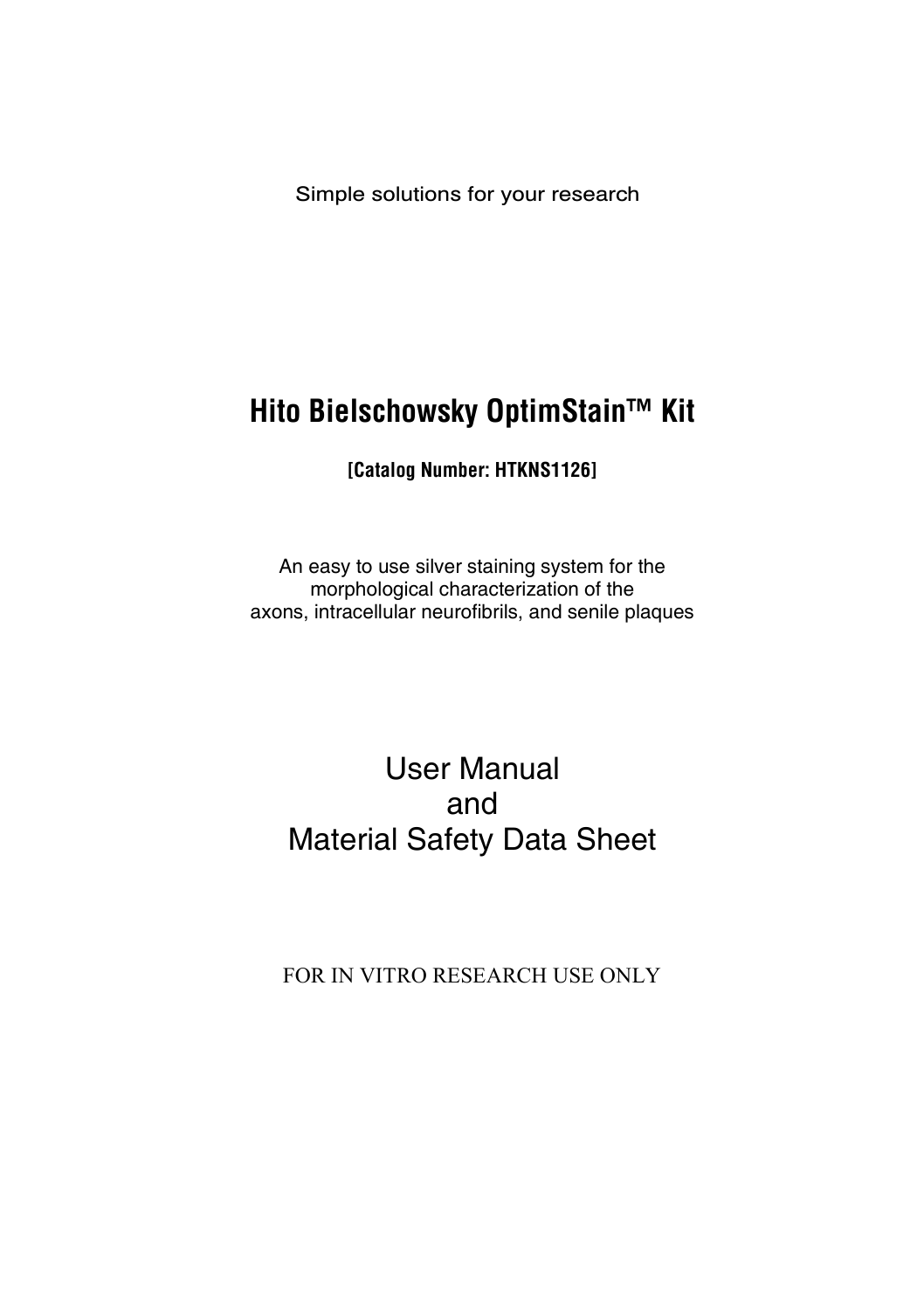Simple solutions for your research

# **Hito Bielschowsky OptimStain™ Kit**

**[Catalog Number: HTKNS1126]** 

An easy to use silver staining system for the morphological characterization of the axons, intracellular neurofibrils, and senile plaques

# User Manual and Material Safety Data Sheet

FOR IN VITRO RESEARCH USE ONLY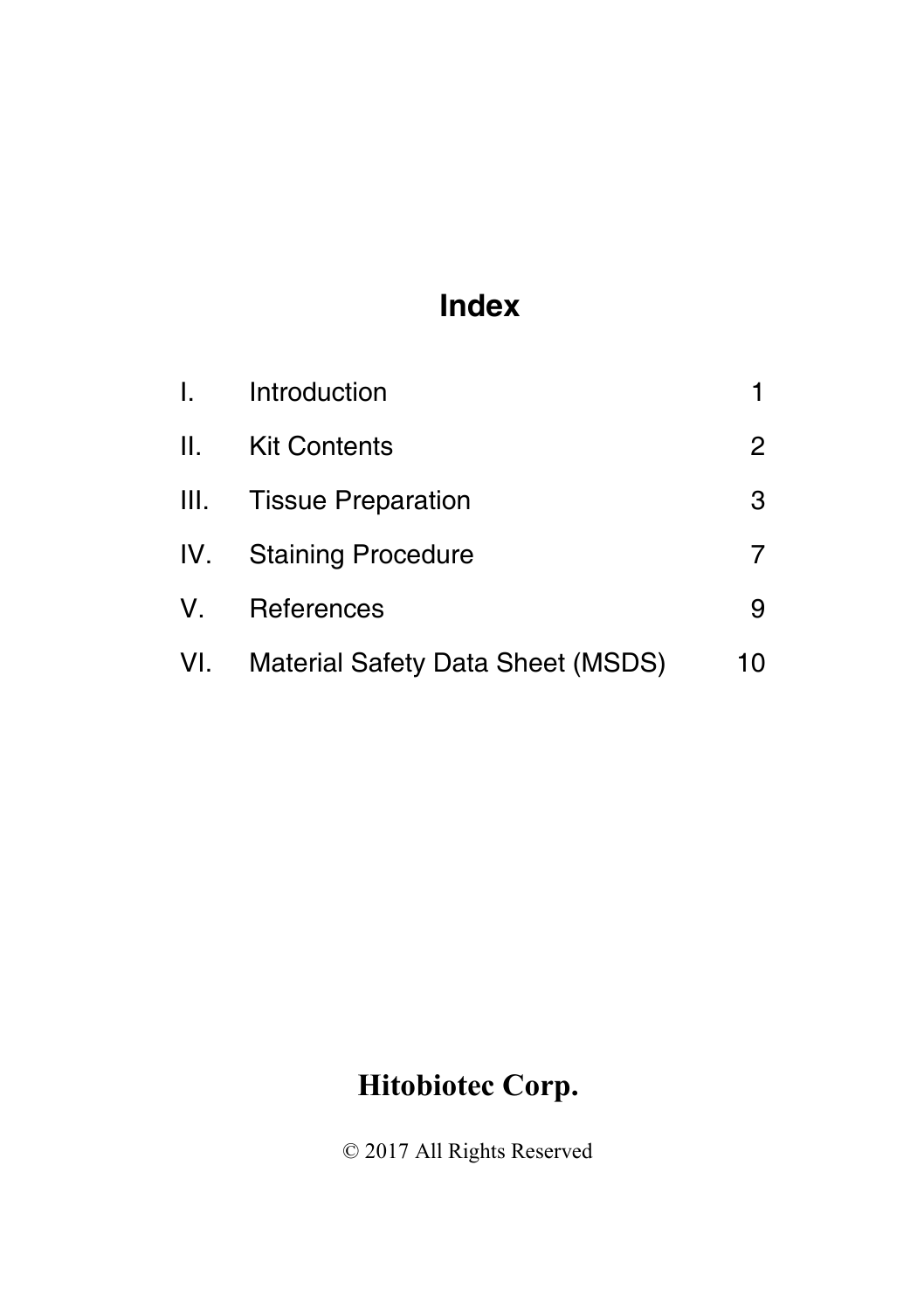# **Index**

|                 | I. Introduction                          |    |
|-----------------|------------------------------------------|----|
| $\mathbf{II}$ . | <b>Kit Contents</b>                      | 2  |
|                 | III. Tissue Preparation                  | 3  |
| IV.             | <b>Staining Procedure</b>                |    |
| V.              | References                               | 9  |
| VI.             | <b>Material Safety Data Sheet (MSDS)</b> | 10 |

# **Hitobiotec Corp.**

© 2017 All Rights Reserved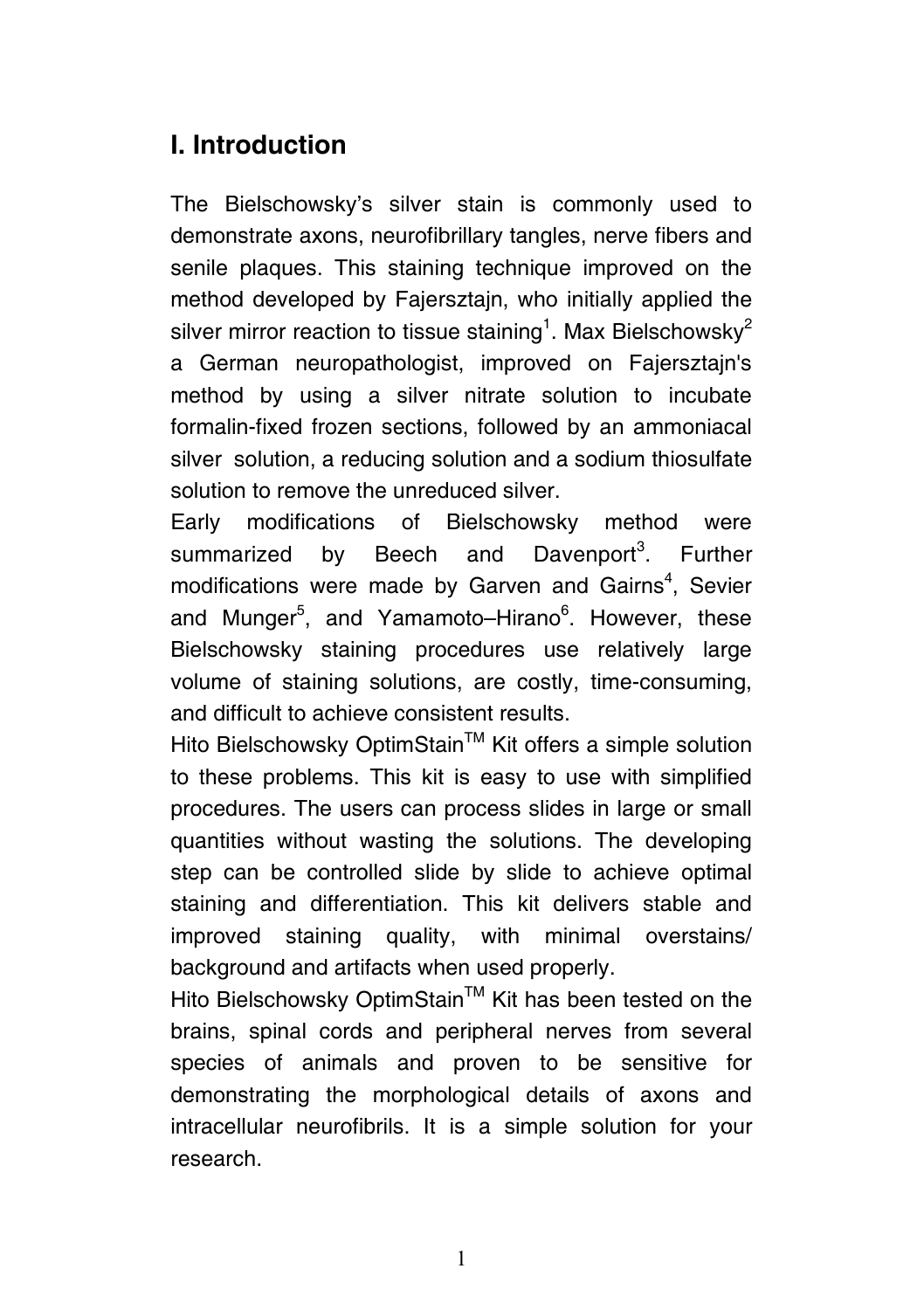## **I. Introduction**

The Bielschowsky's silver stain is commonly used to demonstrate axons, neurofibrillary tangles, nerve fibers and senile plaques. This staining technique improved on the method developed by Fajersztajn, who initially applied the silver mirror reaction to tissue staining<sup>1</sup>. Max Bielschowsky<sup>2</sup> a German neuropathologist, improved on Fajersztajn's method by using a silver nitrate solution to incubate formalin-fixed frozen sections, followed by an ammoniacal silver solution, a reducing solution and a sodium thiosulfate solution to remove the unreduced silver.

Early modifications of Bielschowsky method were summarized by Beech and Davenport<sup>3</sup>. Further modifications were made by Garven and Gairns<sup>4</sup>, Sevier and Munger<sup>5</sup>, and Yamamoto–Hirano<sup>6</sup>. However, these Bielschowsky staining procedures use relatively large volume of staining solutions, are costly, time-consuming, and difficult to achieve consistent results.

Hito Bielschowsky OptimStain™ Kit offers a simple solution to these problems. This kit is easy to use with simplified procedures. The users can process slides in large or small quantities without wasting the solutions. The developing step can be controlled slide by slide to achieve optimal staining and differentiation. This kit delivers stable and improved staining quality, with minimal overstains/ background and artifacts when used properly.

Hito Bielschowsky OptimStain™ Kit has been tested on the brains, spinal cords and peripheral nerves from several species of animals and proven to be sensitive for demonstrating the morphological details of axons and intracellular neurofibrils. It is a simple solution for your research.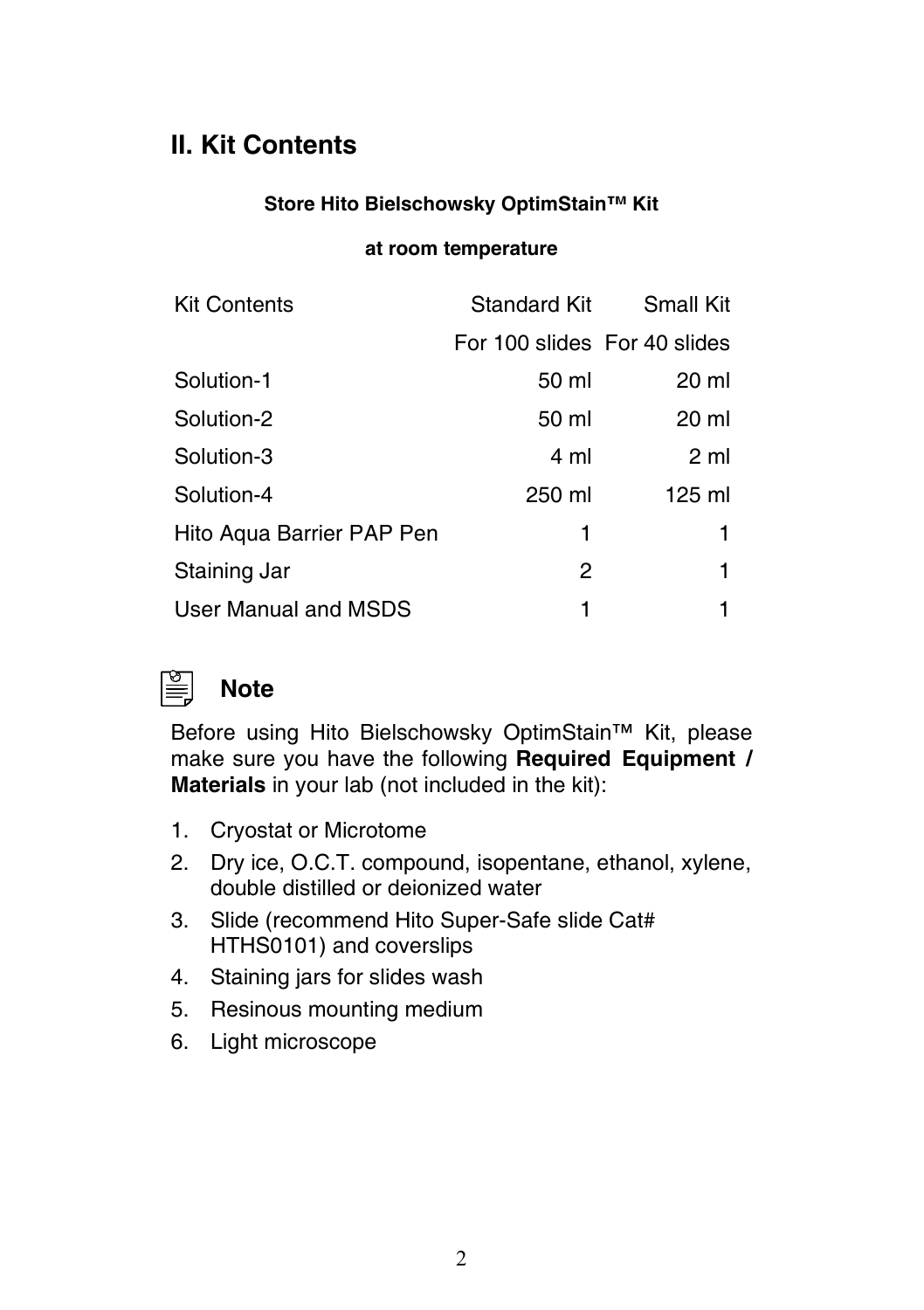## **II. Kit Contents**

### **Store Hito Bielschowsky OptimStain™ Kit**

### **at room temperature**

| <b>Kit Contents</b>       |                              | Standard Kit Small Kit |
|---------------------------|------------------------------|------------------------|
|                           | For 100 slides For 40 slides |                        |
| Solution-1                | 50 ml                        | 20 ml                  |
| Solution-2                | 50 ml                        | 20 ml                  |
| Solution-3                | 4 ml                         | 2 <sub>m</sub>         |
| Solution-4                | 250 ml                       | 125 ml                 |
| Hito Aqua Barrier PAP Pen | 1                            | 1                      |
| Staining Jar              | 2                            | 1                      |
| User Manual and MSDS      | 1                            |                        |



## **Note**

Before using Hito Bielschowsky OptimStain™ Kit, please make sure you have the following **Required Equipment / Materials** in your lab (not included in the kit):

- 1. Cryostat or Microtome
- 2. Dry ice, O.C.T. compound, isopentane, ethanol, xylene, double distilled or deionized water
- 3. Slide (recommend Hito Super-Safe slide Cat# HTHS0101) and coverslips
- 4. Staining jars for slides wash
- 5. Resinous mounting medium
- 6. Light microscope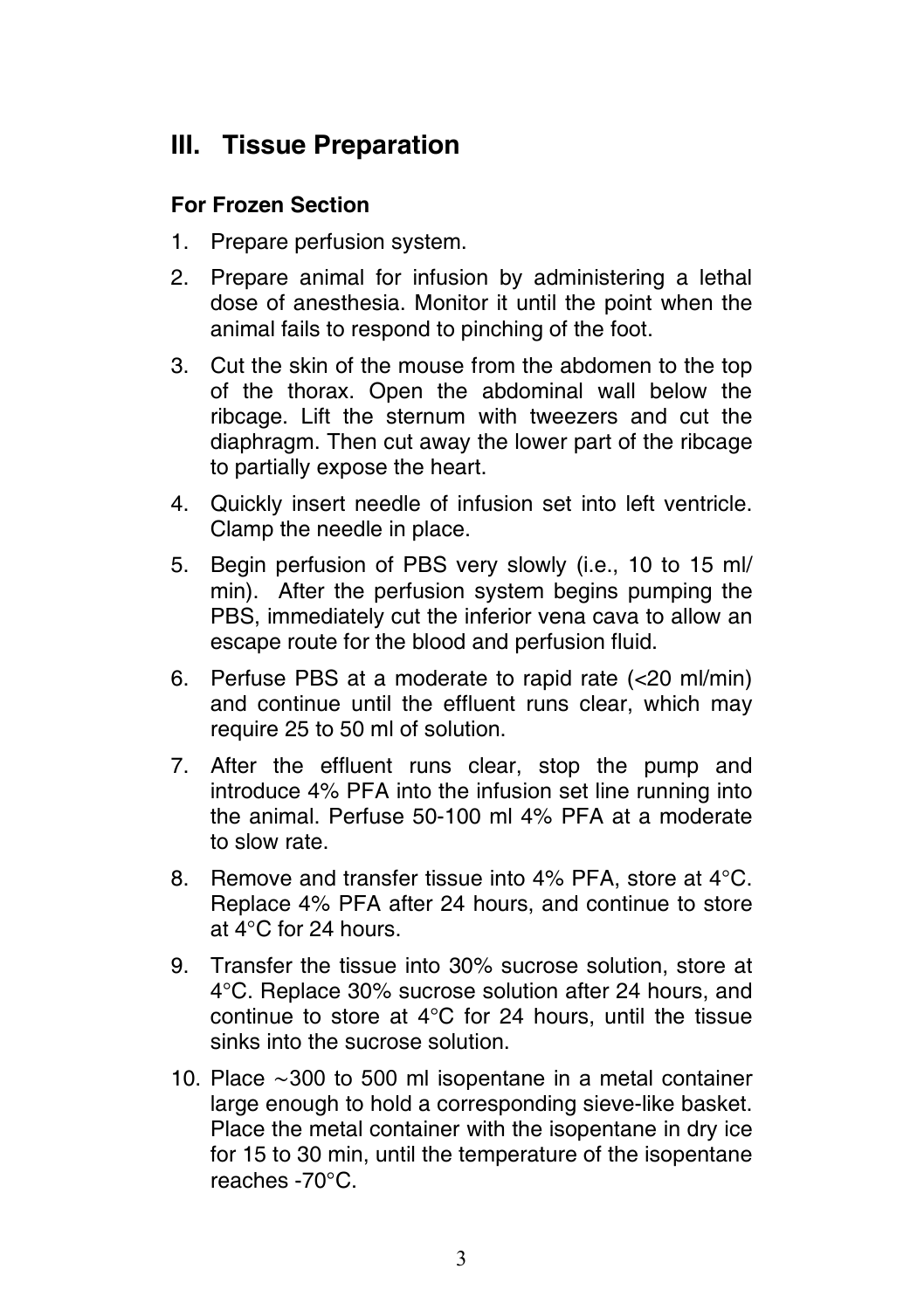## **III. Tissue Preparation**

## **For Frozen Section**

- 1. Prepare perfusion system.
- 2. Prepare animal for infusion by administering a lethal dose of anesthesia. Monitor it until the point when the animal fails to respond to pinching of the foot.
- 3. Cut the skin of the mouse from the abdomen to the top of the thorax. Open the abdominal wall below the ribcage. Lift the sternum with tweezers and cut the diaphragm. Then cut away the lower part of the ribcage to partially expose the heart.
- 4. Quickly insert needle of infusion set into left ventricle. Clamp the needle in place.
- 5. Begin perfusion of PBS very slowly (i.e., 10 to 15 ml/ min). After the perfusion system begins pumping the PBS, immediately cut the inferior vena cava to allow an escape route for the blood and perfusion fluid.
- 6. Perfuse PBS at a moderate to rapid rate (<20 ml/min) and continue until the effluent runs clear, which may require 25 to 50 ml of solution.
- 7. After the effluent runs clear, stop the pump and introduce 4% PFA into the infusion set line running into the animal. Perfuse 50-100 ml 4% PFA at a moderate to slow rate.
- 8. Remove and transfer tissue into 4% PFA, store at 4°C. Replace 4% PFA after 24 hours, and continue to store at 4°C for 24 hours.
- 9. Transfer the tissue into 30% sucrose solution, store at 4°C. Replace 30% sucrose solution after 24 hours, and continue to store at 4°C for 24 hours, until the tissue sinks into the sucrose solution.
- 10. Place ∼300 to 500 ml isopentane in a metal container large enough to hold a corresponding sieve-like basket. Place the metal container with the isopentane in dry ice for 15 to 30 min, until the temperature of the isopentane reaches -70°C.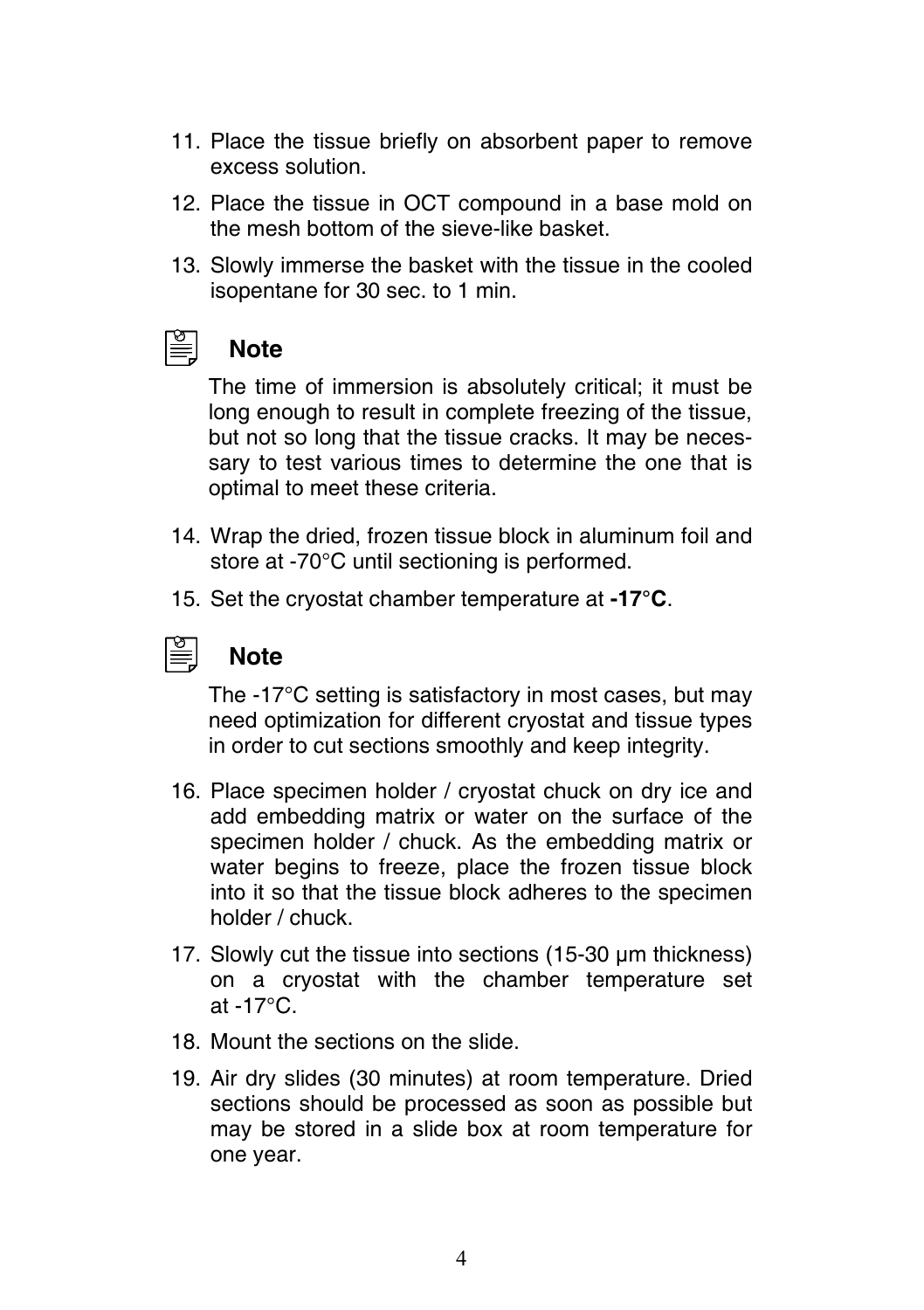- 11. Place the tissue briefly on absorbent paper to remove excess solution.
- 12. Place the tissue in OCT compound in a base mold on the mesh bottom of the sieve-like basket.
- 13. Slowly immerse the basket with the tissue in the cooled isopentane for 30 sec. to 1 min.



## **Note**

The time of immersion is absolutely critical; it must be long enough to result in complete freezing of the tissue, but not so long that the tissue cracks. It may be necessary to test various times to determine the one that is optimal to meet these criteria.

- 14. Wrap the dried, frozen tissue block in aluminum foil and store at -70°C until sectioning is performed.
- 15. Set the cryostat chamber temperature at **-17°C**.



## **Note**

The -17°C setting is satisfactory in most cases, but may need optimization for different cryostat and tissue types in order to cut sections smoothly and keep integrity.

- 16. Place specimen holder / cryostat chuck on dry ice and add embedding matrix or water on the surface of the specimen holder / chuck. As the embedding matrix or water begins to freeze, place the frozen tissue block into it so that the tissue block adheres to the specimen holder / chuck.
- 17. Slowly cut the tissue into sections (15-30 µm thickness) on a cryostat with the chamber temperature set at -17°C.
- 18. Mount the sections on the slide.
- 19. Air dry slides (30 minutes) at room temperature. Dried sections should be processed as soon as possible but may be stored in a slide box at room temperature for one year.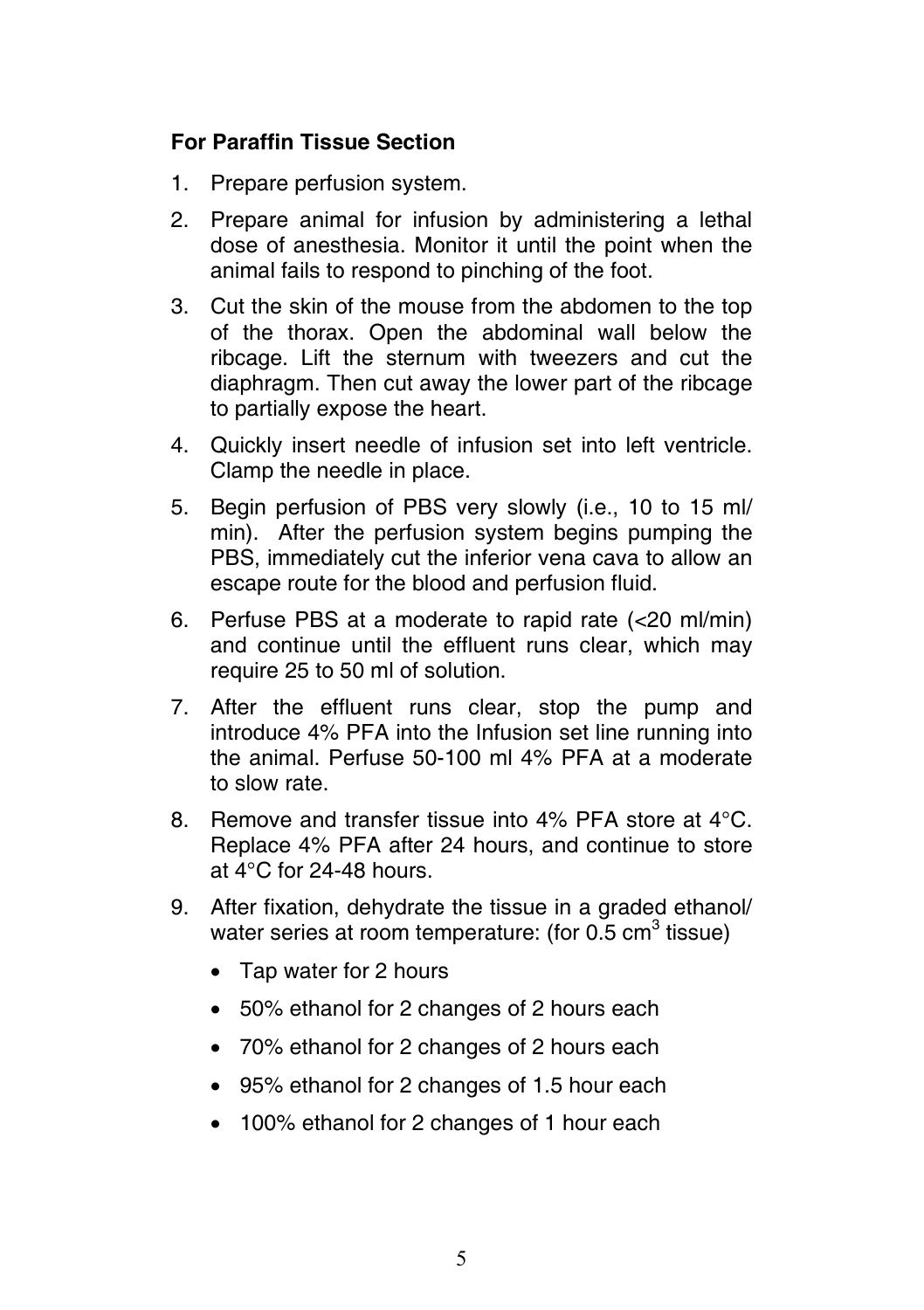## **For Paraffin Tissue Section**

- 1. Prepare perfusion system.
- 2. Prepare animal for infusion by administering a lethal dose of anesthesia. Monitor it until the point when the animal fails to respond to pinching of the foot.
- 3. Cut the skin of the mouse from the abdomen to the top of the thorax. Open the abdominal wall below the ribcage. Lift the sternum with tweezers and cut the diaphragm. Then cut away the lower part of the ribcage to partially expose the heart.
- 4. Quickly insert needle of infusion set into left ventricle. Clamp the needle in place.
- 5. Begin perfusion of PBS very slowly (i.e., 10 to 15 ml/ min). After the perfusion system begins pumping the PBS, immediately cut the inferior vena cava to allow an escape route for the blood and perfusion fluid.
- 6. Perfuse PBS at a moderate to rapid rate (<20 ml/min) and continue until the effluent runs clear, which may require 25 to 50 ml of solution.
- 7. After the effluent runs clear, stop the pump and introduce 4% PFA into the Infusion set line running into the animal. Perfuse 50-100 ml 4% PFA at a moderate to slow rate.
- 8. Remove and transfer tissue into 4% PFA store at 4°C. Replace 4% PFA after 24 hours, and continue to store at  $4^{\circ}$ C for 24-48 hours.
- 9. After fixation, dehydrate the tissue in a graded ethanol/ water series at room temperature: (for 0.5  $\text{cm}^3$  tissue)
	- Tap water for 2 hours
	- 50% ethanol for 2 changes of 2 hours each
	- 70% ethanol for 2 changes of 2 hours each
	- 95% ethanol for 2 changes of 1.5 hour each
	- 100% ethanol for 2 changes of 1 hour each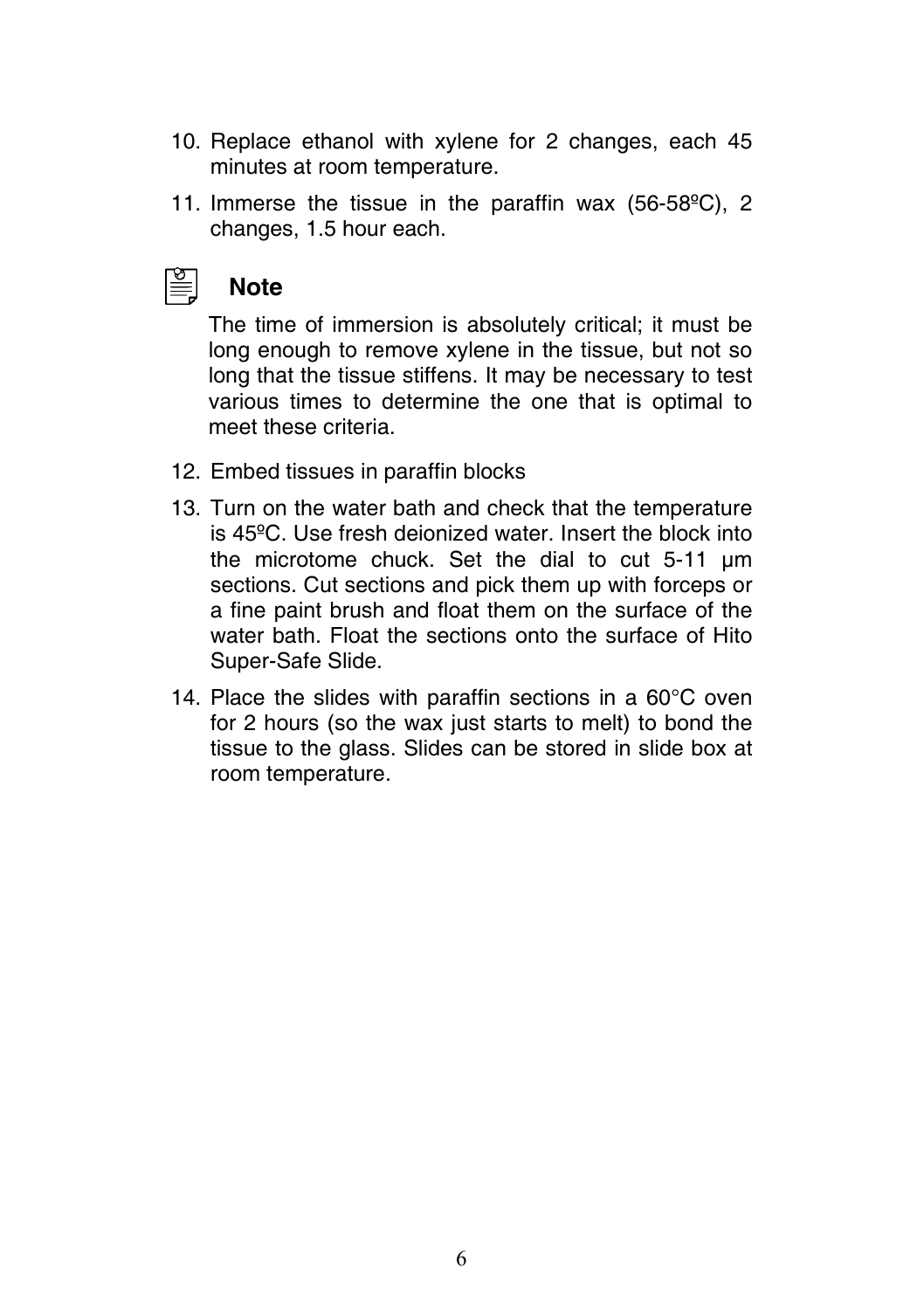- 10. Replace ethanol with xylene for 2 changes, each 45 minutes at room temperature.
- 11. Immerse the tissue in the paraffin wax (56-58ºC), 2 changes, 1.5 hour each.



## **Note**

The time of immersion is absolutely critical; it must be long enough to remove xylene in the tissue, but not so long that the tissue stiffens. It may be necessary to test various times to determine the one that is optimal to meet these criteria.

- 12. Embed tissues in paraffin blocks
- 13. Turn on the water bath and check that the temperature is 45ºC. Use fresh deionized water. Insert the block into the microtome chuck. Set the dial to cut 5-11 µm sections. Cut sections and pick them up with forceps or a fine paint brush and float them on the surface of the water bath. Float the sections onto the surface of Hito Super-Safe Slide.
- 14. Place the slides with paraffin sections in a 60°C oven for 2 hours (so the wax just starts to melt) to bond the tissue to the glass. Slides can be stored in slide box at room temperature.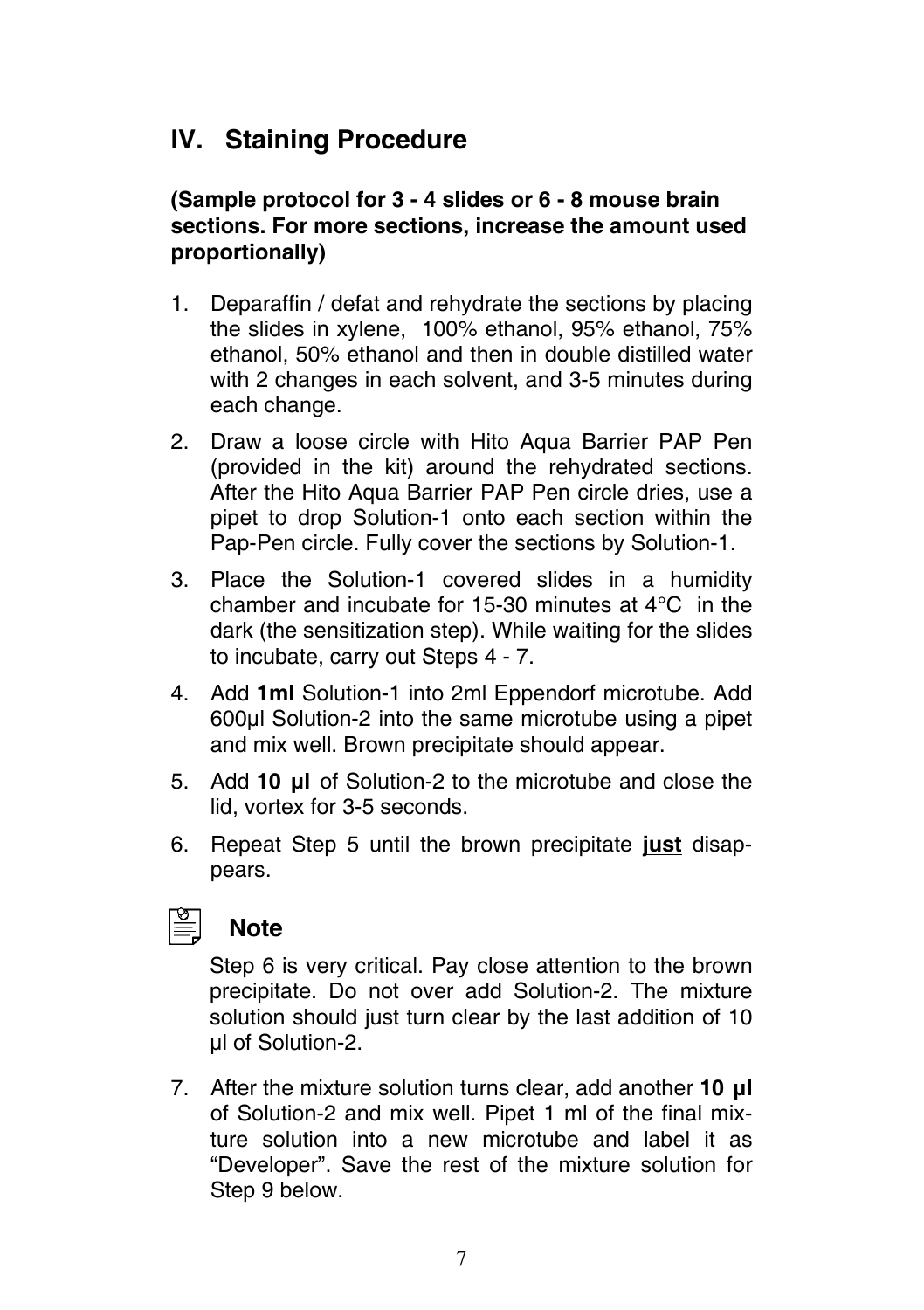## **IV. Staining Procedure**

## **(Sample protocol for 3 - 4 slides or 6 - 8 mouse brain sections. For more sections, increase the amount used proportionally)**

- 1. Deparaffin / defat and rehydrate the sections by placing the slides in xylene, 100% ethanol, 95% ethanol, 75% ethanol, 50% ethanol and then in double distilled water with 2 changes in each solvent, and 3-5 minutes during each change.
- 2. Draw a loose circle with Hito Aqua Barrier PAP Pen (provided in the kit) around the rehydrated sections. After the Hito Aqua Barrier PAP Pen circle dries, use a pipet to drop Solution-1 onto each section within the Pap-Pen circle. Fully cover the sections by Solution-1.
- 3. Place the Solution-1 covered slides in a humidity chamber and incubate for 15-30 minutes at 4°C in the dark (the sensitization step). While waiting for the slides to incubate, carry out Steps 4 - 7.
- 4. Add **1ml** Solution-1 into 2ml Eppendorf microtube. Add 600µl Solution-2 into the same microtube using a pipet and mix well. Brown precipitate should appear.
- 5. Add **10 µl** of Solution-2 to the microtube and close the lid, vortex for 3-5 seconds.
- 6. Repeat Step 5 until the brown precipitate **just** disappears.



## **Note**

Step 6 is very critical. Pay close attention to the brown precipitate. Do not over add Solution-2. The mixture solution should just turn clear by the last addition of 10 µl of Solution-2.

7. After the mixture solution turns clear, add another **10 µl**  of Solution-2 and mix well. Pipet 1 ml of the final mixture solution into a new microtube and label it as "Developer". Save the rest of the mixture solution for Step 9 below.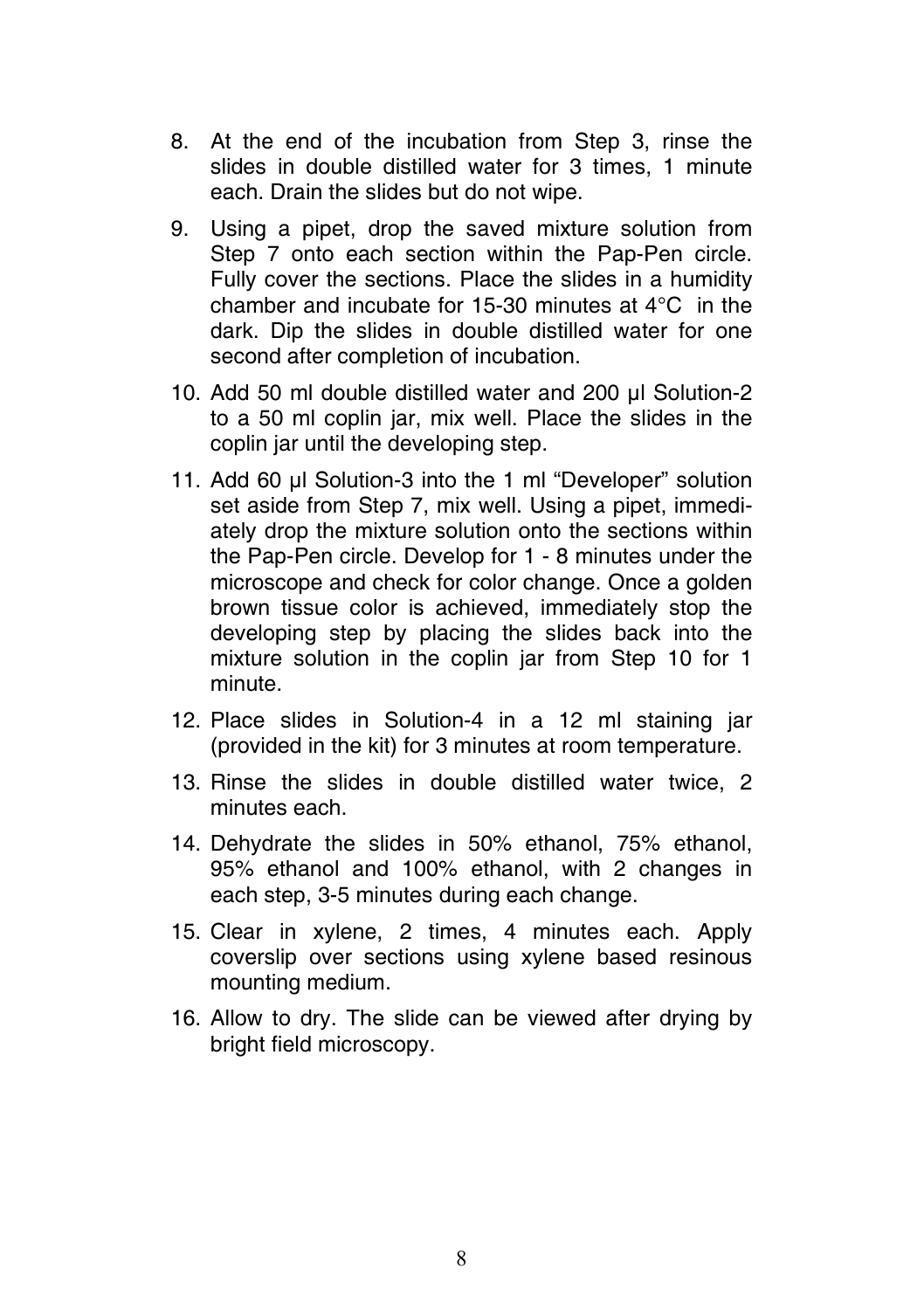- 8. At the end of the incubation from Step 3, rinse the slides in double distilled water for 3 times, 1 minute each. Drain the slides but do not wipe.
- 9. Using a pipet, drop the saved mixture solution from Step 7 onto each section within the Pap-Pen circle. Fully cover the sections. Place the slides in a humidity chamber and incubate for 15-30 minutes at 4°C in the dark. Dip the slides in double distilled water for one second after completion of incubation.
- 10. Add 50 ml double distilled water and 200 µl Solution-2 to a 50 ml coplin jar, mix well. Place the slides in the coplin jar until the developing step.
- 11. Add 60 µl Solution-3 into the 1 ml "Developer" solution set aside from Step 7, mix well. Using a pipet, immediately drop the mixture solution onto the sections within the Pap-Pen circle. Develop for 1 - 8 minutes under the microscope and check for color change. Once a golden brown tissue color is achieved, immediately stop the developing step by placing the slides back into the mixture solution in the coplin jar from Step 10 for 1 minute.
- 12. Place slides in Solution-4 in a 12 ml staining jar (provided in the kit) for 3 minutes at room temperature.
- 13. Rinse the slides in double distilled water twice, 2 minutes each.
- 14. Dehydrate the slides in 50% ethanol, 75% ethanol, 95% ethanol and 100% ethanol, with 2 changes in each step, 3-5 minutes during each change.
- 15. Clear in xylene, 2 times, 4 minutes each. Apply coverslip over sections using xylene based resinous mounting medium.
- 16. Allow to dry. The slide can be viewed after drying by bright field microscopy.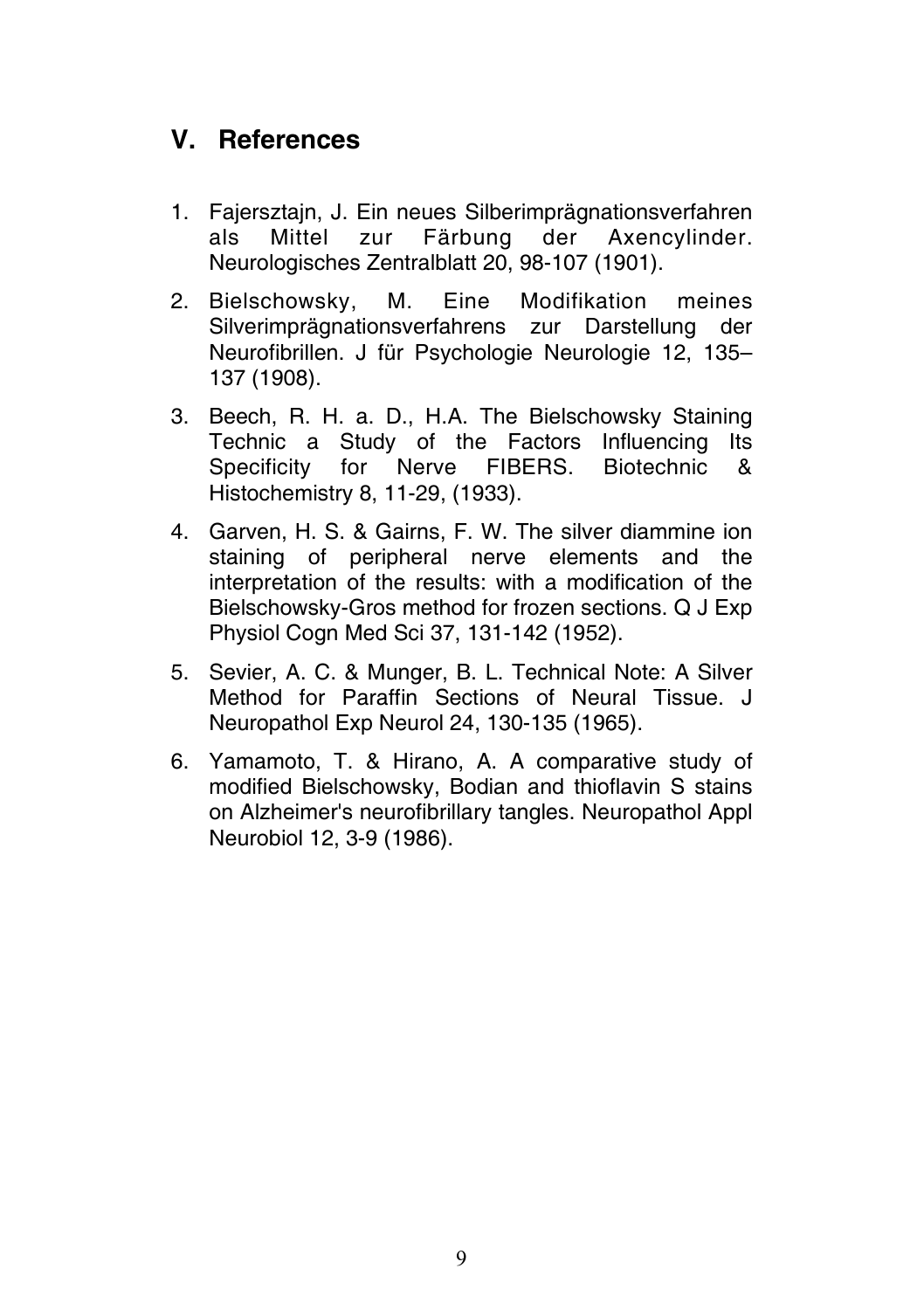## **V. References**

- 1. Fajersztajn, J. Ein neues Silberimprägnationsverfahren als Mittel zur Färbung der Axencylinder. Neurologisches Zentralblatt 20, 98-107 (1901).
- 2. Bielschowsky, M. Eine Modifikation meines Silverimprägnationsverfahrens zur Darstellung der Neurofibrillen. J für Psychologie Neurologie 12, 135– 137 (1908).
- 3. Beech, R. H. a. D., H.A. The Bielschowsky Staining Technic a Study of the Factors Influencing Its<br>Specificity for Nerve FIBFRS Biotechnic & Specificity for Nerve FIBERS. Biotechnic Histochemistry 8, 11-29, (1933).
- 4. Garven, H. S. & Gairns, F. W. The silver diammine ion staining of peripheral nerve elements and the interpretation of the results: with a modification of the Bielschowsky-Gros method for frozen sections. Q J Exp Physiol Cogn Med Sci 37, 131-142 (1952).
- 5. Sevier, A. C. & Munger, B. L. Technical Note: A Silver Method for Paraffin Sections of Neural Tissue. J Neuropathol Exp Neurol 24, 130-135 (1965).
- 6. Yamamoto, T. & Hirano, A. A comparative study of modified Bielschowsky, Bodian and thioflavin S stains on Alzheimer's neurofibrillary tangles. Neuropathol Appl Neurobiol 12, 3-9 (1986).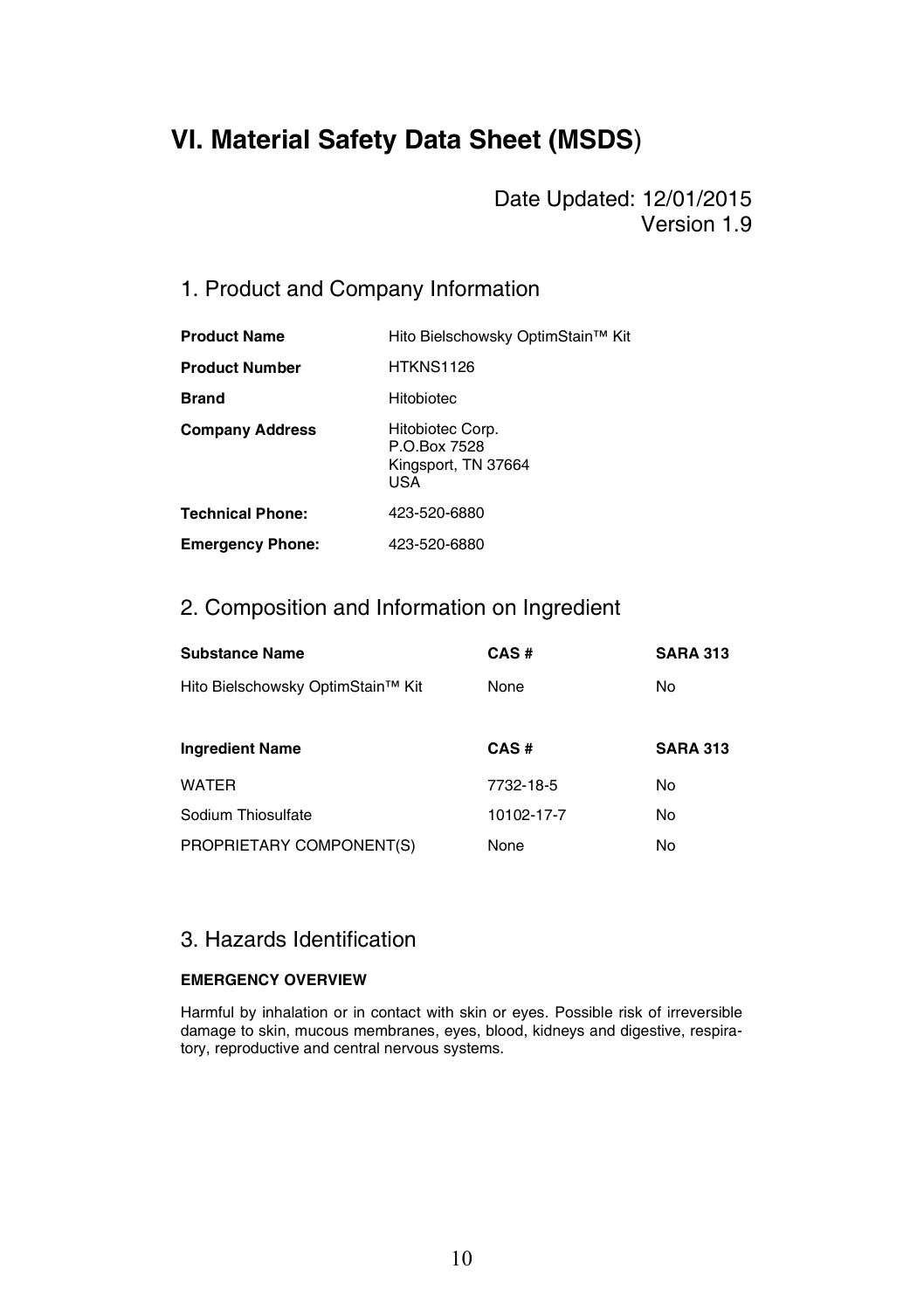## **VI. Material Safety Data Sheet (MSDS**)

Date Updated: 12/01/2015 Version 1.9

## 1. Product and Company Information

| <b>Product Name</b>     | Hito Bielschowsky OptimStain™ Kit                              |
|-------------------------|----------------------------------------------------------------|
| <b>Product Number</b>   | <b>HTKNS1126</b>                                               |
| <b>Brand</b>            | Hitobiotec                                                     |
| <b>Company Address</b>  | Hitobiotec Corp.<br>P O Box 7528<br>Kingsport, TN 37664<br>USA |
| <b>Technical Phone:</b> | 423-520-6880                                                   |
| <b>Emergency Phone:</b> | 423-520-6880                                                   |

### 2. Composition and Information on Ingredient

| <b>Substance Name</b>             | CAS#       | <b>SARA 313</b> |
|-----------------------------------|------------|-----------------|
| Hito Bielschowsky OptimStain™ Kit | None       | No              |
|                                   |            |                 |
| <b>Ingredient Name</b>            | CAS#       | <b>SARA 313</b> |
| <b>WATER</b>                      | 7732-18-5  | No              |
| Sodium Thiosulfate                | 10102-17-7 | No              |
| PROPRIETARY COMPONENT(S)          | None       | No              |

### 3. Hazards Identification

#### **EMERGENCY OVERVIEW**

Harmful by inhalation or in contact with skin or eyes. Possible risk of irreversible damage to skin, mucous membranes, eyes, blood, kidneys and digestive, respiratory, reproductive and central nervous systems.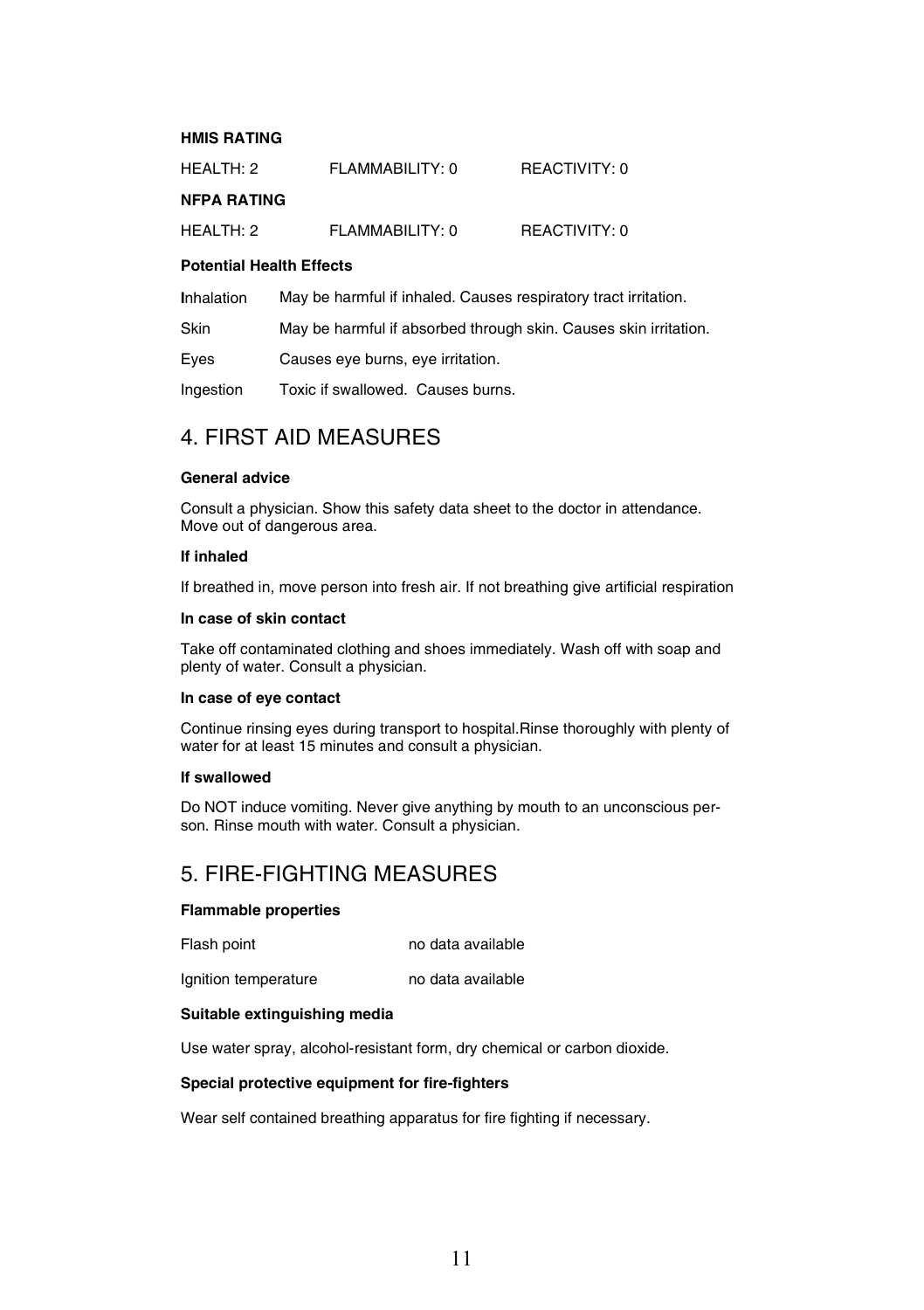#### **HMIS RATING**

| HEALTH: 2          | FLAMMABILITY: 0 | REACTIVITY: 0 |
|--------------------|-----------------|---------------|
| <b>NFPA RATING</b> |                 |               |
| HEALTH: 2          | FLAMMABILITY: 0 | REACTIVITY: 0 |

#### **Potential Health Effects**

| <b>Inhalation</b> | May be harmful if inhaled. Causes respiratory tract irritation.  |
|-------------------|------------------------------------------------------------------|
| Skin              | May be harmful if absorbed through skin. Causes skin irritation. |

Eyes Causes eye burns, eye irritation.

Ingestion Toxic if swallowed. Causes burns.

### 4. FIRST AID MEASURES

#### **General advice**

Consult a physician. Show this safety data sheet to the doctor in attendance. Move out of dangerous area.

#### **If inhaled**

If breathed in, move person into fresh air. If not breathing give artificial respiration

#### **In case of skin contact**

Take off contaminated clothing and shoes immediately. Wash off with soap and plenty of water. Consult a physician.

#### **In case of eye contact**

Continue rinsing eyes during transport to hospital.Rinse thoroughly with plenty of water for at least 15 minutes and consult a physician.

#### **If swallowed**

Do NOT induce vomiting. Never give anything by mouth to an unconscious person. Rinse mouth with water. Consult a physician.

### 5. FIRE-FIGHTING MEASURES

#### **Flammable properties**

Flash point no data available

Ignition temperature no data available

#### **Suitable extinguishing media**

Use water spray, alcohol-resistant form, dry chemical or carbon dioxide.

#### **Special protective equipment for fire-fighters**

Wear self contained breathing apparatus for fire fighting if necessary.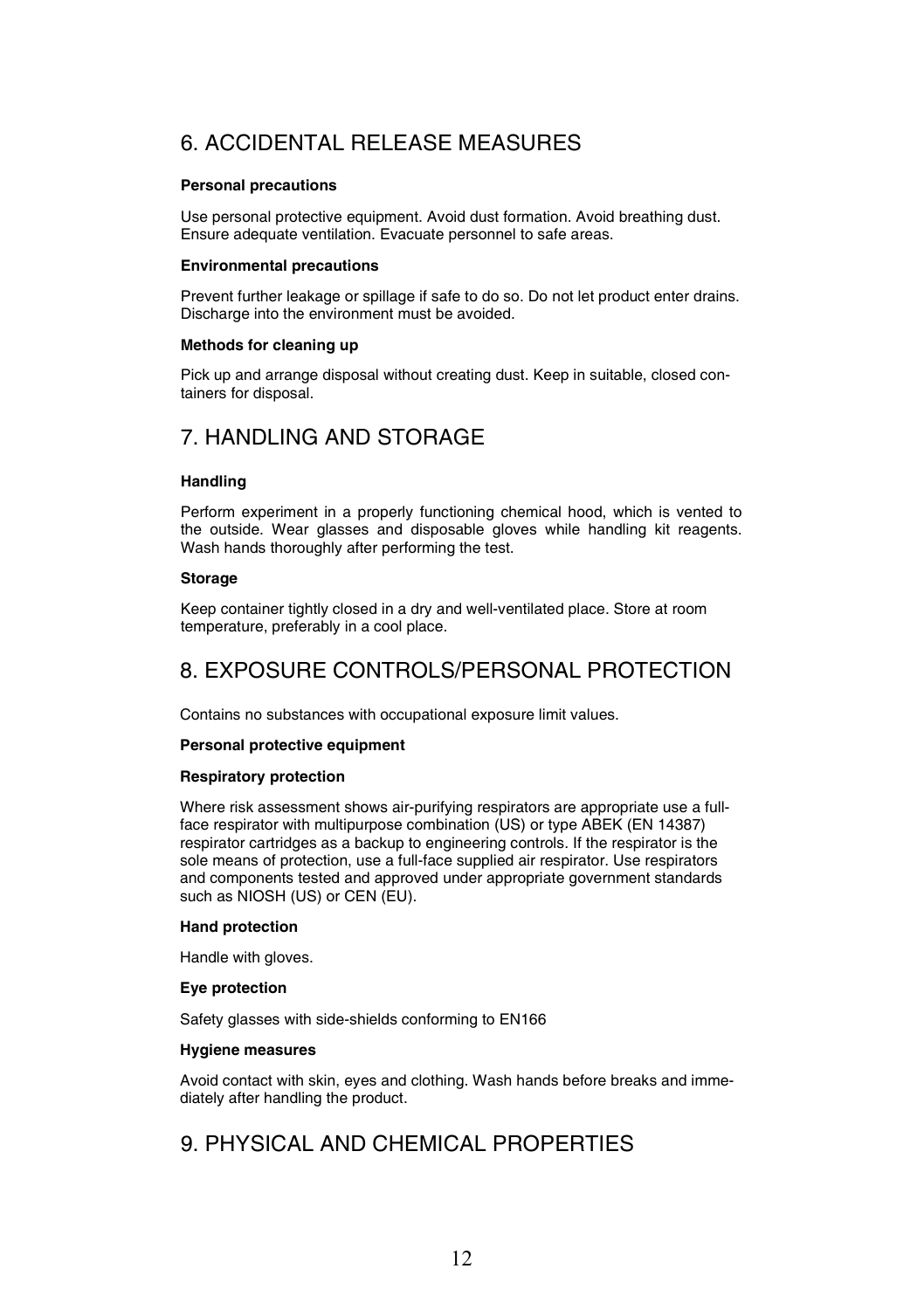## 6. ACCIDENTAL RELEASE MEASURES

#### **Personal precautions**

Use personal protective equipment. Avoid dust formation. Avoid breathing dust. Ensure adequate ventilation. Evacuate personnel to safe areas.

#### **Environmental precautions**

Prevent further leakage or spillage if safe to do so. Do not let product enter drains. Discharge into the environment must be avoided.

#### **Methods for cleaning up**

Pick up and arrange disposal without creating dust. Keep in suitable, closed containers for disposal.

## 7. HANDLING AND STORAGE

#### **Handling**

Perform experiment in a properly functioning chemical hood, which is vented to the outside. Wear glasses and disposable gloves while handling kit reagents. Wash hands thoroughly after performing the test.

#### **Storage**

Keep container tightly closed in a dry and well-ventilated place. Store at room temperature, preferably in a cool place.

## 8. EXPOSURE CONTROLS/PERSONAL PROTECTION

Contains no substances with occupational exposure limit values.

#### **Personal protective equipment**

#### **Respiratory protection**

Where risk assessment shows air-purifying respirators are appropriate use a fullface respirator with multipurpose combination (US) or type ABEK (EN 14387) respirator cartridges as a backup to engineering controls. If the respirator is the sole means of protection, use a full-face supplied air respirator. Use respirators and components tested and approved under appropriate government standards such as NIOSH (US) or CEN (EU).

#### **Hand protection**

Handle with gloves.

#### **Eye protection**

Safety glasses with side-shields conforming to EN166

#### **Hygiene measures**

Avoid contact with skin, eyes and clothing. Wash hands before breaks and immediately after handling the product.

### 9. PHYSICAL AND CHEMICAL PROPERTIES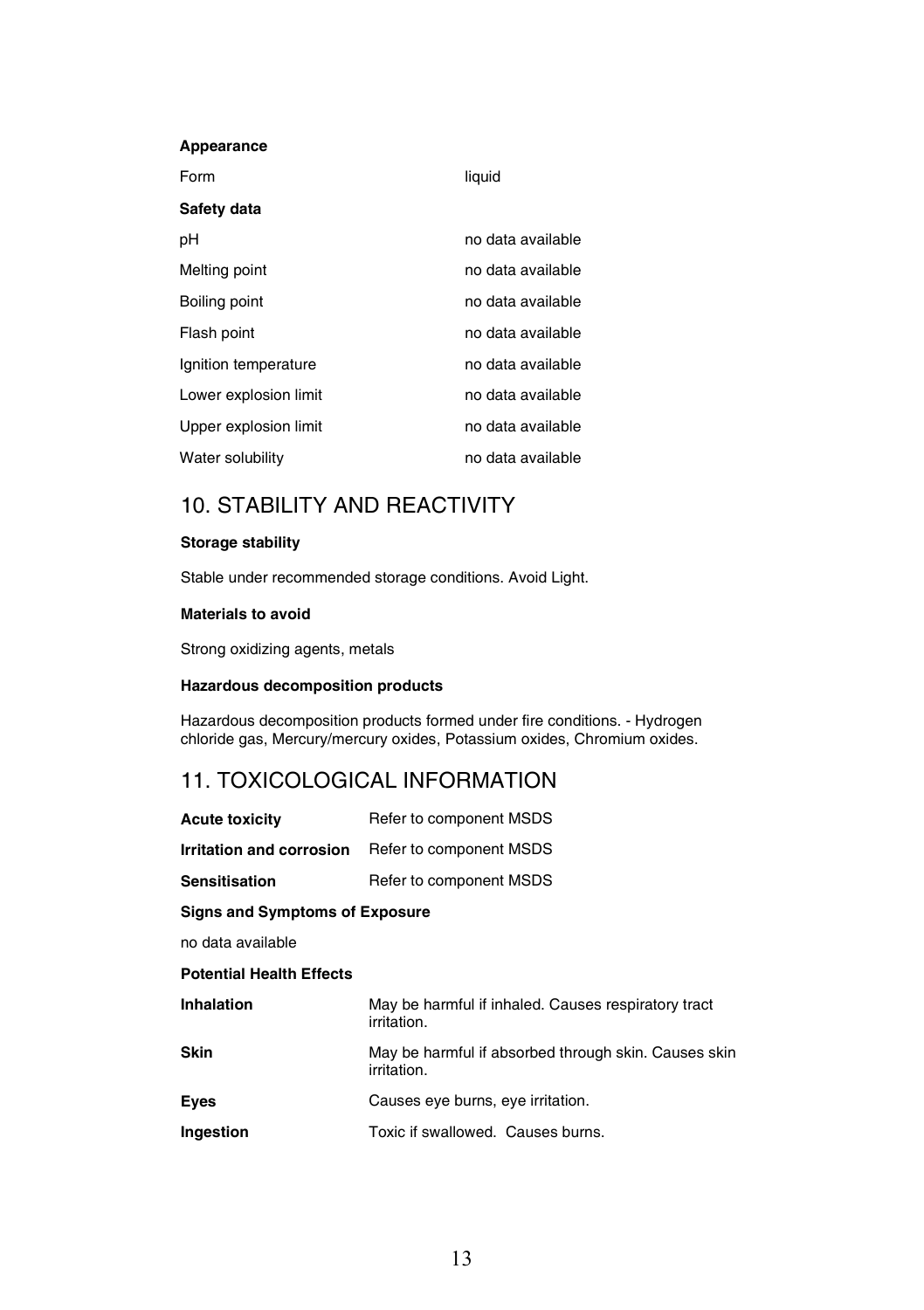#### **Appearance**

| Form                  | liquid            |
|-----------------------|-------------------|
| Safety data           |                   |
| рH                    | no data available |
| Melting point         | no data available |
| Boiling point         | no data available |
| Flash point           | no data available |
| Ignition temperature  | no data available |
| Lower explosion limit | no data available |
| Upper explosion limit | no data available |
| Water solubility      | no data available |

## 10. STABILITY AND REACTIVITY

#### **Storage stability**

Stable under recommended storage conditions. Avoid Light.

#### **Materials to avoid**

Strong oxidizing agents, metals

#### **Hazardous decomposition products**

Hazardous decomposition products formed under fire conditions. - Hydrogen chloride gas, Mercury/mercury oxides, Potassium oxides, Chromium oxides.

### 11. TOXICOLOGICAL INFORMATION

| <b>Acute toxicity</b>                 | Refer to component MSDS                                             |  |
|---------------------------------------|---------------------------------------------------------------------|--|
| Irritation and corrosion              | Refer to component MSDS                                             |  |
| <b>Sensitisation</b>                  | Refer to component MSDS                                             |  |
| <b>Signs and Symptoms of Exposure</b> |                                                                     |  |
| no data available                     |                                                                     |  |
| <b>Potential Health Effects</b>       |                                                                     |  |
| Inhalation                            | May be harmful if inhaled. Causes respiratory tract<br>irritation.  |  |
| Skin                                  | May be harmful if absorbed through skin. Causes skin<br>irritation. |  |
| Eyes                                  | Causes eye burns, eye irritation.                                   |  |
| Ingestion                             | Toxic if swallowed. Causes burns.                                   |  |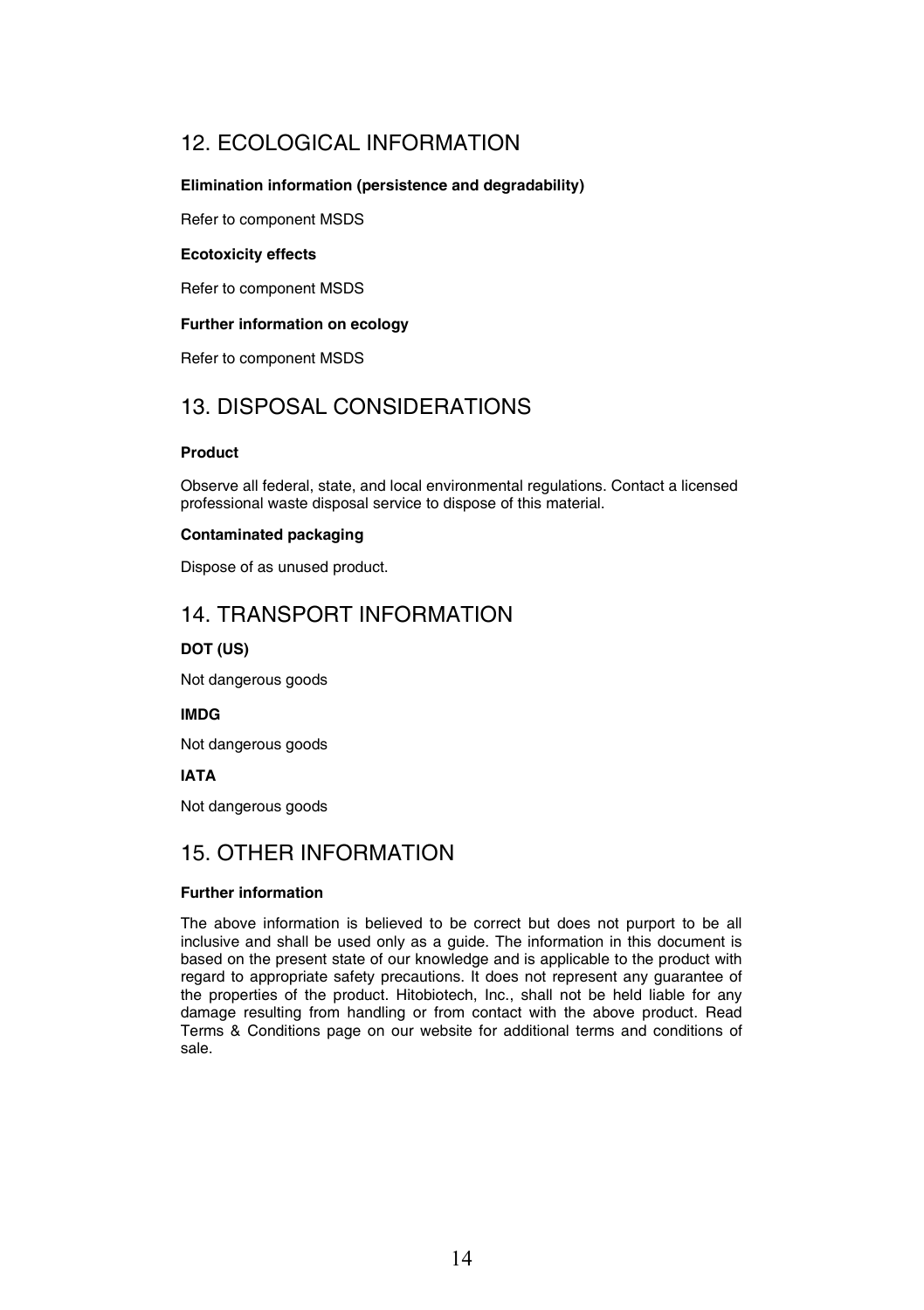## 12. ECOLOGICAL INFORMATION

#### **Elimination information (persistence and degradability)**

Refer to component MSDS

#### **Ecotoxicity effects**

Refer to component MSDS

#### **Further information on ecology**

Refer to component MSDS

## 13. DISPOSAL CONSIDERATIONS

#### **Product**

Observe all federal, state, and local environmental regulations. Contact a licensed professional waste disposal service to dispose of this material.

#### **Contaminated packaging**

Dispose of as unused product.

### 14. TRANSPORT INFORMATION

#### **DOT (US)**

Not dangerous goods

#### **IMDG**

Not dangerous goods

#### **IATA**

Not dangerous goods

### 15. OTHER INFORMATION

#### **Further information**

The above information is believed to be correct but does not purport to be all inclusive and shall be used only as a guide. The information in this document is based on the present state of our knowledge and is applicable to the product with regard to appropriate safety precautions. It does not represent any guarantee of the properties of the product. Hitobiotech, Inc., shall not be held liable for any damage resulting from handling or from contact with the above product. Read Terms & Conditions page on our website for additional terms and conditions of sale.